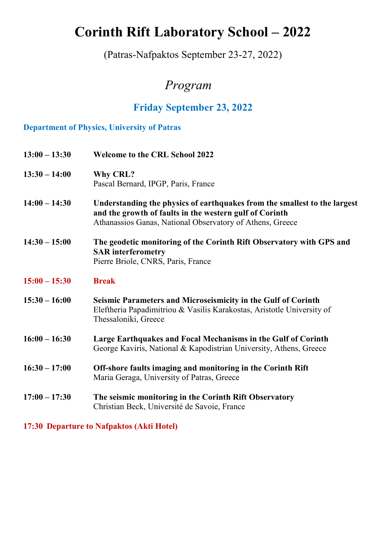# **Corinth Rift Laboratory School – 2022**

(Patras-Nafpaktos September 23-27, 2022)

# *Program*

## **Friday September 23, 2022**

### **Department of Physics, University of Patras**

| $13:00 - 13:30$ | <b>Welcome to the CRL School 2022</b>                                                                                                                                                             |
|-----------------|---------------------------------------------------------------------------------------------------------------------------------------------------------------------------------------------------|
| $13:30 - 14:00$ | <b>Why CRL?</b><br>Pascal Bernard, IPGP, Paris, France                                                                                                                                            |
| $14:00 - 14:30$ | Understanding the physics of earthquakes from the smallest to the largest<br>and the growth of faults in the western gulf of Corinth<br>Athanassios Ganas, National Observatory of Athens, Greece |
| $14:30 - 15:00$ | The geodetic monitoring of the Corinth Rift Observatory with GPS and<br><b>SAR</b> interferometry<br>Pierre Briole, CNRS, Paris, France                                                           |
| $15:00 - 15:30$ | <b>Break</b>                                                                                                                                                                                      |
| $15:30 - 16:00$ | Seismic Parameters and Microseismicity in the Gulf of Corinth<br>Eleftheria Papadimitriou & Vasilis Karakostas, Aristotle University of<br>Thessaloniki, Greece                                   |
| $16:00 - 16:30$ | Large Earthquakes and Focal Mechanisms in the Gulf of Corinth<br>George Kaviris, National & Kapodistrian University, Athens, Greece                                                               |
| $16:30 - 17:00$ | Off-shore faults imaging and monitoring in the Corinth Rift<br>Maria Geraga, University of Patras, Greece                                                                                         |
| $17:00 - 17:30$ | The seismic monitoring in the Corinth Rift Observatory<br>Christian Beck, Université de Savoie, France                                                                                            |
|                 |                                                                                                                                                                                                   |

**17:30 Departure to Nafpaktos (Akti Hotel)**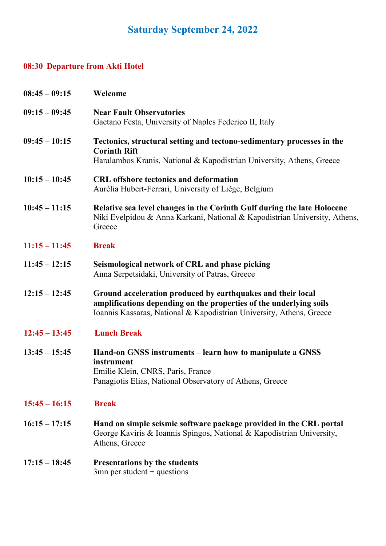# **Saturday September 24, 2022**

## **08:30 Departure from Akti Hotel**

| $08:45 - 09:15$ | Welcome                                                                                                                                                                                                   |
|-----------------|-----------------------------------------------------------------------------------------------------------------------------------------------------------------------------------------------------------|
| $09:15 - 09:45$ | <b>Near Fault Observatories</b><br>Gaetano Festa, University of Naples Federico II, Italy                                                                                                                 |
| $09:45 - 10:15$ | Tectonics, structural setting and tectono-sedimentary processes in the<br><b>Corinth Rift</b><br>Haralambos Kranis, National & Kapodistrian University, Athens, Greece                                    |
| $10:15 - 10:45$ | <b>CRL</b> offshore tectonics and deformation<br>Aurélia Hubert-Ferrari, University of Liège, Belgium                                                                                                     |
| $10:45 - 11:15$ | Relative sea level changes in the Corinth Gulf during the late Holocene<br>Niki Evelpidou & Anna Karkani, National & Kapodistrian University, Athens,<br>Greece                                           |
| $11:15 - 11:45$ | <b>Break</b>                                                                                                                                                                                              |
| $11:45 - 12:15$ | Seismological network of CRL and phase picking<br>Anna Serpetsidaki, University of Patras, Greece                                                                                                         |
| $12:15 - 12:45$ | Ground acceleration produced by earthquakes and their local<br>amplifications depending on the properties of the underlying soils<br>Ioannis Kassaras, National & Kapodistrian University, Athens, Greece |
| $12:45 - 13:45$ | <b>Lunch Break</b>                                                                                                                                                                                        |
| $13:45 - 15:45$ | Hand-on GNSS instruments – learn how to manipulate a GNSS<br>instrument<br>Emilie Klein, CNRS, Paris, France<br>Panagiotis Elias, National Observatory of Athens, Greece                                  |
| $15:45 - 16:15$ | <b>Break</b>                                                                                                                                                                                              |
| $16:15 - 17:15$ | Hand on simple seismic software package provided in the CRL portal<br>George Kaviris & Ioannis Spingos, National & Kapodistrian University,<br>Athens, Greece                                             |
| $17:15 - 18:45$ | <b>Presentations by the students</b><br>$3mn$ per student + questions                                                                                                                                     |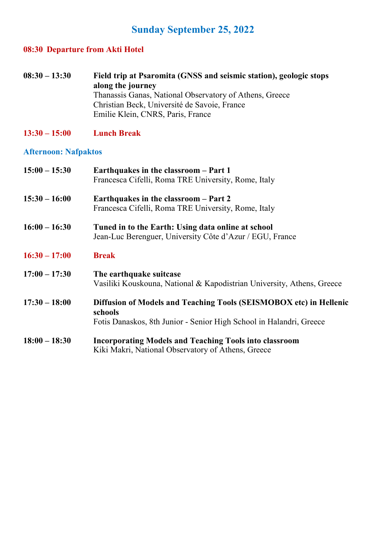## **Sunday September 25, 2022**

### **08:30 Departure from Akti Hotel**

- **08:30 – 13:30 Field trip at Psaromita (GNSS and seismic station), geologic stops along the journey** Thanassis Ganas, National Observatory of Athens, Greece Christian Beck, Université de Savoie, France Emilie Klein, CNRS, Paris, France
- **13:30 – 15:00 Lunch Break**

#### **Afternoon: Nafpaktos**

| $15:00 - 15:30$ | Earthquakes in the classroom – Part 1<br>Francesca Cifelli, Roma TRE University, Rome, Italy                                                         |
|-----------------|------------------------------------------------------------------------------------------------------------------------------------------------------|
| $15:30 - 16:00$ | Earthquakes in the classroom - Part 2<br>Francesca Cifelli, Roma TRE University, Rome, Italy                                                         |
| $16:00 - 16:30$ | Tuned in to the Earth: Using data online at school<br>Jean-Luc Berenguer, University Côte d'Azur / EGU, France                                       |
| $16:30 - 17:00$ | <b>Break</b>                                                                                                                                         |
| $17:00 - 17:30$ | The earthquake suitcase<br>Vasiliki Kouskouna, National & Kapodistrian University, Athens, Greece                                                    |
| $17:30 - 18:00$ | Diffusion of Models and Teaching Tools (SEISMOBOX etc) in Hellenic<br>schools<br>Fotis Danaskos, 8th Junior - Senior High School in Halandri, Greece |
| $18:00 - 18:30$ | <b>Incorporating Models and Teaching Tools into classroom</b><br>Kiki Makri, National Observatory of Athens, Greece                                  |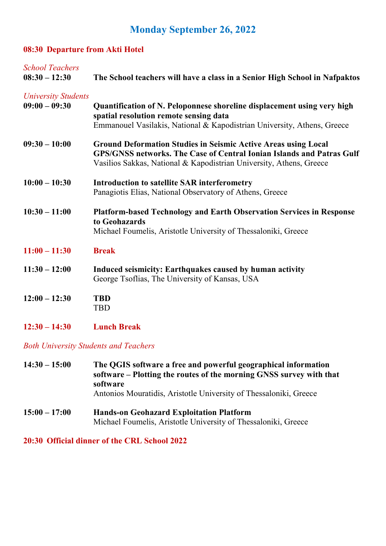## **Monday September 26, 2022**

### **08:30 Departure from Akti Hotel**

| <b>School Teachers</b><br>$08:30 - 12:30$ | The School teachers will have a class in a Senior High School in Nafpaktos                                                                                                                                                   |
|-------------------------------------------|------------------------------------------------------------------------------------------------------------------------------------------------------------------------------------------------------------------------------|
| <b>University Students</b>                |                                                                                                                                                                                                                              |
| $09:00 - 09:30$                           | Quantification of N. Peloponnese shoreline displacement using very high<br>spatial resolution remote sensing data<br>Emmanouel Vasilakis, National & Kapodistrian University, Athens, Greece                                 |
| $09:30 - 10:00$                           | <b>Ground Deformation Studies in Seismic Active Areas using Local</b><br><b>GPS/GNSS networks. The Case of Central Ionian Islands and Patras Gulf</b><br>Vasilios Sakkas, National & Kapodistrian University, Athens, Greece |
| $10:00 - 10:30$                           | Introduction to satellite SAR interferometry<br>Panagiotis Elias, National Observatory of Athens, Greece                                                                                                                     |
| $10:30 - 11:00$                           | <b>Platform-based Technology and Earth Observation Services in Response</b><br>to Geohazards<br>Michael Foumelis, Aristotle University of Thessaloniki, Greece                                                               |
| $11:00 - 11:30$                           | <b>Break</b>                                                                                                                                                                                                                 |
| $11:30 - 12:00$                           | Induced seismicity: Earthquakes caused by human activity<br>George Tsoflias, The University of Kansas, USA                                                                                                                   |
| $12:00 - 12:30$                           | <b>TBD</b><br><b>TBD</b>                                                                                                                                                                                                     |
| $12:30 - 14:30$                           | <b>Lunch Break</b>                                                                                                                                                                                                           |

*Both University Students and Teachers*

| $14:30 - 15:00$ | The QGIS software a free and powerful geographical information<br>software – Plotting the routes of the morning GNSS survey with that<br>software<br>Antonios Mouratidis, Aristotle University of Thessaloniki, Greece |
|-----------------|------------------------------------------------------------------------------------------------------------------------------------------------------------------------------------------------------------------------|
| $15:00 - 17:00$ | <b>Hands-on Geohazard Exploitation Platform</b><br>Michael Foumelis, Aristotle University of Thessaloniki, Greece                                                                                                      |

**20:30 Official dinner of the CRL School 2022**